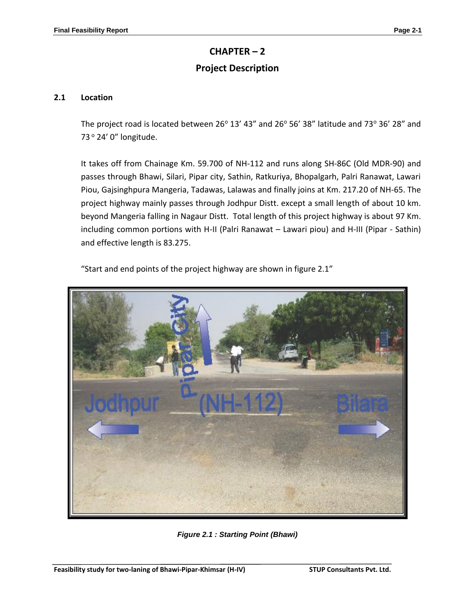# **CHAPTER – 2**

## **Project Description**

## **2.1 Location**

The project road is located between 26 $^{\circ}$  13' 43" and 26 $^{\circ}$  56' 38" latitude and 73 $^{\circ}$  36' 28" and 73° 24' 0" longitude.

It takes off from Chainage Km. 59.700 of NH-112 and runs along SH-86C (Old MDR-90) and passes through Bhawi, Silari, Pipar city, Sathin, Ratkuriya, Bhopalgarh, Palri Ranawat, Lawari Piou, Gajsinghpura Mangeria, Tadawas, Lalawas and finally joins at Km. 217.20 of NH-65. The project highway mainly passes through Jodhpur Distt. except a small length of about 10 km. beyond Mangeria falling in Nagaur Distt. Total length of this project highway is about 97 Km. including common portions with H-II (Palri Ranawat – Lawari piou) and H-III (Pipar - Sathin) and effective length is 83.275.



"Start and end points of the project highway are shown in figure 2.1"

*Figure 2.1 : Starting Point (Bhawi)*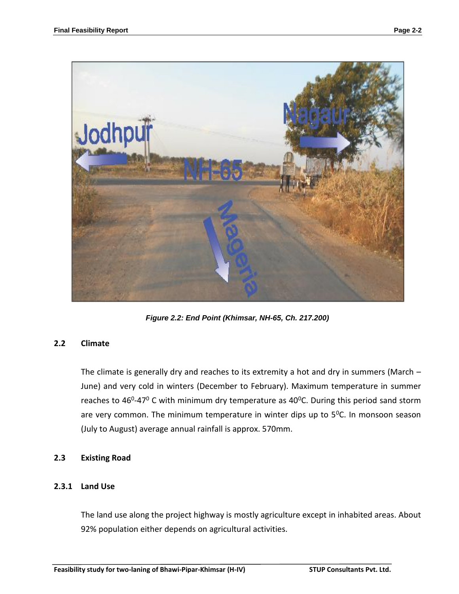

*Figure 2.2: End Point (Khimsar, NH-65, Ch. 217.200)*

## **2.2 Climate**

The climate is generally dry and reaches to its extremity a hot and dry in summers (March – June) and very cold in winters (December to February). Maximum temperature in summer reaches to 46<sup>0</sup>-47<sup>0</sup> C with minimum dry temperature as 40<sup>0</sup>C. During this period sand storm are very common. The minimum temperature in winter dips up to  $5^{\circ}$ C. In monsoon season (July to August) average annual rainfall is approx. 570mm.

#### **2.3 Existing Road**

## **2.3.1 Land Use**

The land use along the project highway is mostly agriculture except in inhabited areas. About 92% population either depends on agricultural activities.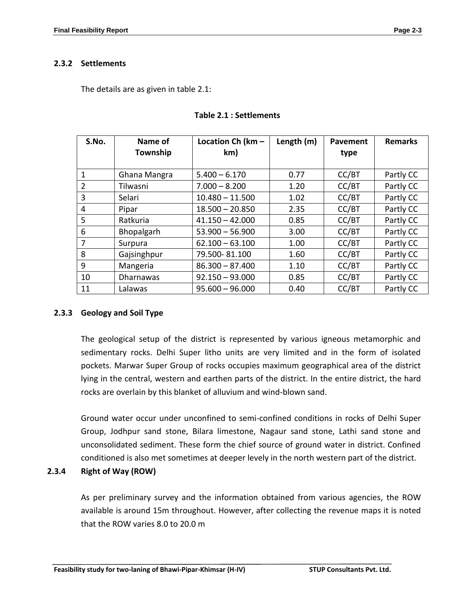## **2.3.2 Settlements**

The details are as given in table 2.1:

| S.No. | Name of          | Location Ch (km - | Length (m) | Pavement | <b>Remarks</b> |
|-------|------------------|-------------------|------------|----------|----------------|
|       | Township         | km)               |            | type     |                |
|       |                  |                   |            |          |                |
| 1     | Ghana Mangra     | $5.400 - 6.170$   | 0.77       | CC/BT    | Partly CC      |
| 2     | Tilwasni         | $7.000 - 8.200$   | 1.20       | CC/BT    | Partly CC      |
| 3     | Selari           | $10.480 - 11.500$ | 1.02       | CC/BT    | Partly CC      |
| 4     | Pipar            | $18.500 - 20.850$ | 2.35       | CC/BT    | Partly CC      |
| 5     | Ratkuria         | $41.150 - 42.000$ | 0.85       | CC/BT    | Partly CC      |
| 6     | Bhopalgarh       | $53.900 - 56.900$ | 3.00       | CC/BT    | Partly CC      |
| 7     | Surpura          | $62.100 - 63.100$ | 1.00       | CC/BT    | Partly CC      |
| 8     | Gajsinghpur      | 79.500-81.100     | 1.60       | CC/BT    | Partly CC      |
| 9     | Mangeria         | $86.300 - 87.400$ | 1.10       | CC/BT    | Partly CC      |
| 10    | <b>Dharnawas</b> | $92.150 - 93.000$ | 0.85       | CC/BT    | Partly CC      |
| 11    | Lalawas          | $95.600 - 96.000$ | 0.40       | CC/BT    | Partly CC      |

#### **Table 2.1 : Settlements**

## **2.3.3 Geology and Soil Type**

The geological setup of the district is represented by various igneous metamorphic and sedimentary rocks. Delhi Super litho units are very limited and in the form of isolated pockets. Marwar Super Group of rocks occupies maximum geographical area of the district lying in the central, western and earthen parts of the district. In the entire district, the hard rocks are overlain by this blanket of alluvium and wind-blown sand.

Ground water occur under unconfined to semi-confined conditions in rocks of Delhi Super Group, Jodhpur sand stone, Bilara limestone, Nagaur sand stone, Lathi sand stone and unconsolidated sediment. These form the chief source of ground water in district. Confined conditioned is also met sometimes at deeper levely in the north western part of the district.

## **2.3.4 Right of Way (ROW)**

As per preliminary survey and the information obtained from various agencies, the ROW available is around 15m throughout. However, after collecting the revenue maps it is noted that the ROW varies 8.0 to 20.0 m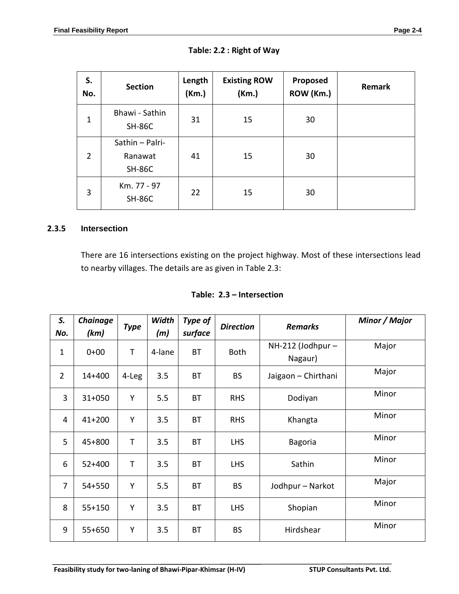| S.<br>No.      | <b>Section</b>                              | Length<br>(Km.) | <b>Existing ROW</b><br>(Km.) | Proposed<br>ROW (Km.) | Remark |
|----------------|---------------------------------------------|-----------------|------------------------------|-----------------------|--------|
| $\mathbf 1$    | Bhawi - Sathin<br><b>SH-86C</b>             | 31              | 15                           | 30                    |        |
| $\overline{2}$ | Sathin - Palri-<br>Ranawat<br><b>SH-86C</b> | 41              | 15                           | 30                    |        |
| 3              | Km. 77 - 97<br><b>SH-86C</b>                | 22              | 15                           | 30                    |        |

| Table: 2.2 : Right of Way |  |  |
|---------------------------|--|--|
|---------------------------|--|--|

## **2.3.5 Intersection**

There are 16 intersections existing on the project highway. Most of these intersections lead to nearby villages. The details are as given in Table 2.3:

| S.<br>No.      | Chainage<br>(km) | <b>Type</b> | Width<br>(m) | Type of<br>surface | <b>Direction</b> | <b>Remarks</b>                 | Minor / Major |
|----------------|------------------|-------------|--------------|--------------------|------------------|--------------------------------|---------------|
| $\mathbf{1}$   | $0 + 00$         | $\mathsf T$ | 4-lane       | <b>BT</b>          | <b>Both</b>      | $NH-212$ (Jodhpur –<br>Nagaur) | Major         |
| $\overline{2}$ | $14 + 400$       | 4-Leg       | 3.5          | BT                 | <b>BS</b>        | Jaigaon - Chirthani            | Major         |
| 3              | $31 + 050$       | Y           | 5.5          | <b>BT</b>          | <b>RHS</b>       | Dodiyan                        | Minor         |
| 4              | $41 + 200$       | Υ           | 3.5          | BT                 | <b>RHS</b>       | Khangta                        | Minor         |
| 5              | 45+800           | T           | 3.5          | ВT                 | <b>LHS</b>       | <b>Bagoria</b>                 | Minor         |
| 6              | $52+400$         | T           | 3.5          | BT                 | <b>LHS</b>       | Sathin                         | Minor         |
| $\overline{7}$ | 54+550           | Y           | 5.5          | BT                 | <b>BS</b>        | Jodhpur - Narkot               | Major         |
| 8              | 55+150           | Υ           | 3.5          | <b>BT</b>          | <b>LHS</b>       | Shopian                        | Minor         |
| 9              | $55+650$         | Υ           | 3.5          | BT                 | <b>BS</b>        | Hirdshear                      | Minor         |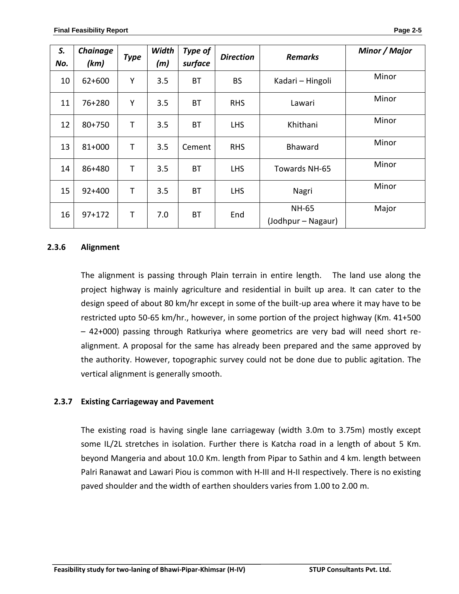| S.<br>No. | Chainage<br>(km) | <b>Type</b> | Width<br>(m) | Type of<br>surface | <b>Direction</b> | <b>Remarks</b>                     | Minor / Major |
|-----------|------------------|-------------|--------------|--------------------|------------------|------------------------------------|---------------|
| 10        | 62+600           | Υ           | 3.5          | <b>BT</b>          | <b>BS</b>        | Kadari - Hingoli                   | Minor         |
| 11        | 76+280           | Υ           | 3.5          | BT                 | <b>RHS</b>       | Lawari                             | Minor         |
| 12        | 80+750           | T           | 3.5          | <b>BT</b>          | <b>LHS</b>       | Khithani                           | Minor         |
| 13        | 81+000           | Т           | 3.5          | Cement             | <b>RHS</b>       | <b>Bhaward</b>                     | Minor         |
| 14        | 86+480           | Т           | 3.5          | BT                 | <b>LHS</b>       | Towards NH-65                      | Minor         |
| 15        | $92+400$         | Т           | 3.5          | BT                 | <b>LHS</b>       | Nagri                              | Minor         |
| 16        | $97 + 172$       | T           | 7.0          | <b>BT</b>          | End              | <b>NH-65</b><br>(Jodhpur – Nagaur) | Major         |

## **2.3.6 Alignment**

The alignment is passing through Plain terrain in entire length. The land use along the project highway is mainly agriculture and residential in built up area. It can cater to the design speed of about 80 km/hr except in some of the built-up area where it may have to be restricted upto 50-65 km/hr., however, in some portion of the project highway (Km. 41+500 – 42+000) passing through Ratkuriya where geometrics are very bad will need short realignment. A proposal for the same has already been prepared and the same approved by the authority. However, topographic survey could not be done due to public agitation. The vertical alignment is generally smooth.

## **2.3.7 Existing Carriageway and Pavement**

The existing road is having single lane carriageway (width 3.0m to 3.75m) mostly except some IL/2L stretches in isolation. Further there is Katcha road in a length of about 5 Km. beyond Mangeria and about 10.0 Km. length from Pipar to Sathin and 4 km. length between Palri Ranawat and Lawari Piou is common with H-III and H-II respectively. There is no existing paved shoulder and the width of earthen shoulders varies from 1.00 to 2.00 m.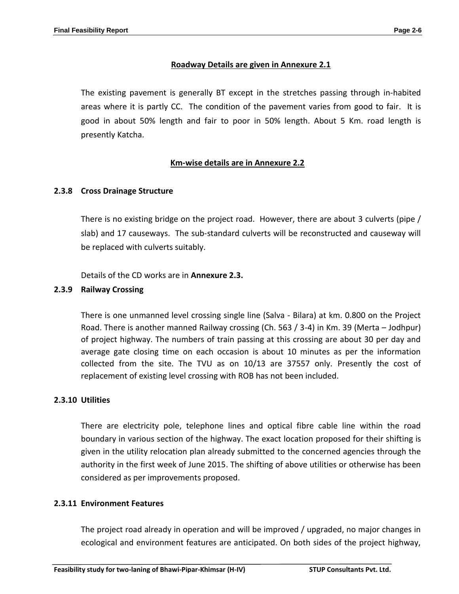## **Roadway Details are given in Annexure 2.1**

The existing pavement is generally BT except in the stretches passing through in-habited areas where it is partly CC. The condition of the pavement varies from good to fair. It is good in about 50% length and fair to poor in 50% length. About 5 Km. road length is presently Katcha.

## **Km-wise details are in Annexure 2.2**

## **2.3.8 Cross Drainage Structure**

There is no existing bridge on the project road. However, there are about 3 culverts (pipe / slab) and 17 causeways. The sub-standard culverts will be reconstructed and causeway will be replaced with culverts suitably.

Details of the CD works are in **Annexure 2.3.**

#### **2.3.9 Railway Crossing**

There is one unmanned level crossing single line (Salva - Bilara) at km. 0.800 on the Project Road. There is another manned Railway crossing (Ch. 563 / 3-4) in Km. 39 (Merta – Jodhpur) of project highway. The numbers of train passing at this crossing are about 30 per day and average gate closing time on each occasion is about 10 minutes as per the information collected from the site. The TVU as on 10/13 are 37557 only. Presently the cost of replacement of existing level crossing with ROB has not been included.

#### **2.3.10 Utilities**

There are electricity pole, telephone lines and optical fibre cable line within the road boundary in various section of the highway. The exact location proposed for their shifting is given in the utility relocation plan already submitted to the concerned agencies through the authority in the first week of June 2015. The shifting of above utilities or otherwise has been considered as per improvements proposed.

#### **2.3.11 Environment Features**

The project road already in operation and will be improved / upgraded, no major changes in ecological and environment features are anticipated. On both sides of the project highway,